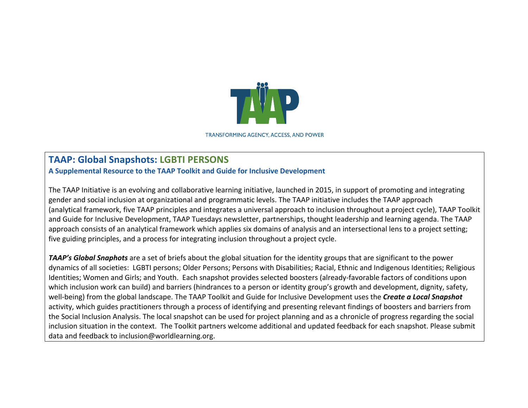

**TRANSFORMING AGENCY, ACCESS, AND POWER** 

## **TAAP: Global Snapshots: LGBTI PERSONS**

**A Supplemental Resource to the TAAP Toolkit and Guide for Inclusive Development**

The TAAP Initiative is an evolving and collaborative learning initiative, launched in 2015, in support of promoting and integrating gender and social inclusion at organizational and programmatic levels. The TAAP initiative includes the TAAP approach (analytical framework, five TAAP principles and integrates a universal approach to inclusion throughout a project cycle), TAAP Toolkit and Guide for Inclusive Development, TAAP Tuesdays newsletter, partnerships, thought leadership and learning agenda. The TAAP approach consists of an analytical framework which applies six domains of analysis and an intersectional lens to a project setting; five guiding principles, and a process for integrating inclusion throughout a project cycle.

**TAAP's Global Snaphots** are a set of briefs about the global situation for the identity groups that are significant to the power dynamics of all societies: LGBTI persons; Older Persons; Persons with Disabilities; Racial, Ethnic and Indigenous Identities; Religious Identities; Women and Girls; and Youth. Each snapshot provides selected boosters (already-favorable factors of conditions upon which inclusion work can build) and barriers (hindrances to a person or identity group's growth and development, dignity, safety, well-being) from the global landscape. The TAAP Toolkit and Guide for Inclusive Development uses the **Create a Local Snapshot** activity, which guides practitioners through a process of identifying and presenting relevant findings of boosters and barriers from the Social Inclusion Analysis. The local snapshot can be used for project planning and as a chronicle of progress regarding the social inclusion situation in the context. The Toolkit partners welcome additional and updated feedback for each snapshot. Please submit data and feedback to inclusion@worldlearning.org.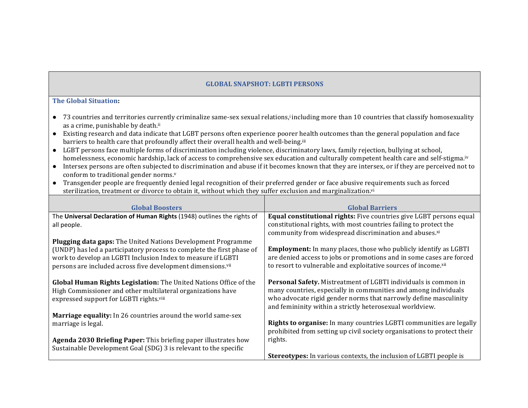## **GLOBAL SNAPSHOT: LGBTI PERSONS**

## **The Global Situation:**

- 73 countries and territories currently criminalize same-sex sexual relations,<sup>i</sup> including more than 10 countries that classify homosexuality as a crime, punishable by death.<sup>ii</sup>
- Existing research and data indicate that LGBT persons often experience poorer health outcomes than the general population and face barriers to health care that profoundly affect their overall health and well-being.<sup>iii</sup>
- LGBT persons face multiple forms of discrimination including violence, discriminatory laws, family rejection, bullying at school, homelessness, economic hardship, lack of access to comprehensive sex education and culturally competent health care and self-stigma.<sup>iv</sup>
- Intersex persons are often subjected to discrimination and abuse if it becomes known that they are intersex, or if they are perceived not to conform to traditional gender norms. $v$
- Transgender people are frequently denied legal recognition of their preferred gender or face abusive requirements such as forced sterilization, treatment or divorce to obtain it, without which they suffer exclusion and marginalization.<sup>vi</sup>

| <b>Global Boosters</b>                                                                                                                                                      | <b>Global Barriers</b>                                                                                                                                                                                                                                                    |
|-----------------------------------------------------------------------------------------------------------------------------------------------------------------------------|---------------------------------------------------------------------------------------------------------------------------------------------------------------------------------------------------------------------------------------------------------------------------|
| The Universal Declaration of Human Rights (1948) outlines the rights of                                                                                                     | Equal constitutional rights: Five countries give LGBT persons equal                                                                                                                                                                                                       |
| all people.                                                                                                                                                                 | constitutional rights, with most countries failing to protect the<br>community from widespread discrimination and abuses.xi                                                                                                                                               |
| Plugging data gaps: The United Nations Development Programme                                                                                                                |                                                                                                                                                                                                                                                                           |
| (UNDP) has led a participatory process to complete the first phase of                                                                                                       | <b>Employment:</b> In many places, those who publicly identify as LGBTI                                                                                                                                                                                                   |
| work to develop an LGBTI Inclusion Index to measure if LGBTI                                                                                                                | are denied access to jobs or promotions and in some cases are forced                                                                                                                                                                                                      |
| persons are included across five development dimensions.vii                                                                                                                 | to resort to vulnerable and exploitative sources of income.xii                                                                                                                                                                                                            |
| Global Human Rights Legislation: The United Nations Office of the<br>High Commissioner and other multilateral organizations have<br>expressed support for LGBTI rights.viii | <b>Personal Safety.</b> Mistreatment of LGBTI individuals is common in<br>many countries, especially in communities and among individuals<br>who advocate rigid gender norms that narrowly define masculinity<br>and femininity within a strictly heterosexual worldview. |
| Marriage equality: In 26 countries around the world same-sex                                                                                                                |                                                                                                                                                                                                                                                                           |
| marriage is legal.                                                                                                                                                          | Rights to organise: In many countries LGBTI communities are legally<br>prohibited from setting up civil society organisations to protect their                                                                                                                            |
| Agenda 2030 Briefing Paper: This briefing paper illustrates how                                                                                                             | rights.                                                                                                                                                                                                                                                                   |
| Sustainable Development Goal (SDG) 3 is relevant to the specific                                                                                                            |                                                                                                                                                                                                                                                                           |
|                                                                                                                                                                             | <b>Stereotypes:</b> In various contexts, the inclusion of LGBTI people is                                                                                                                                                                                                 |